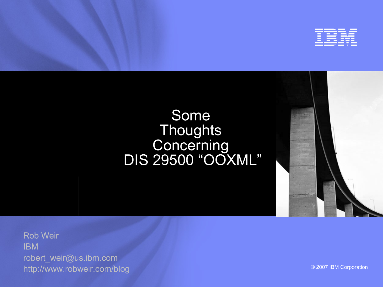

### Some **Thoughts Concerning** DIS 29500 "OOXML"

Rob Weir IBM [robert\\_weir@us.ibm.com](mailto:robert_weir@us.ibm.com) http://www.robweir.com/blog

© 2007 IBM Corporation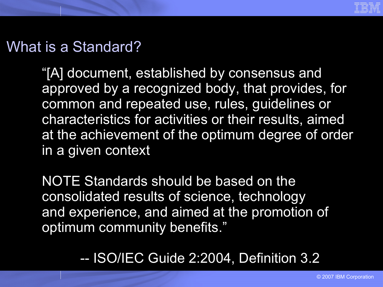

# What is a Standard?

"[A] document, established by consensus and approved by a recognized body, that provides, for common and repeated use, rules, guidelines or characteristics for activities or their results, aimed at the achievement of the optimum degree of order in a given context

NOTE Standards should be based on the consolidated results of science, technology and experience, and aimed at the promotion of optimum community benefits."

-- ISO/IEC Guide 2:2004, Definition 3.2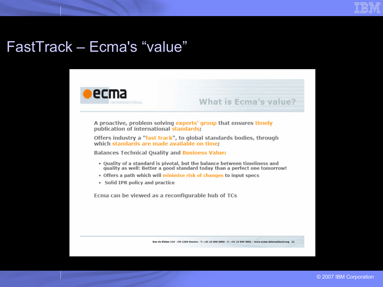

# FastTrack - Ecma's "value"



A proactive, problem solving experts' group that ensures timely publication of international standards;

Offers industry a "fast track", to global standards bodies, through which standards are made available on time;

**Balances Technical Quality and Business Value:** 

- . Quality of a standard is pivotal, but the balance between timeliness and quality as well: Better a good standard today than a perfect one tomorrow!
- . Offers a path which will minimise risk of changes to input specs
- · Solid IPR policy and practice

Ecma can be viewed as a reconfigurable hub of TCs

Rue du Rhône 114 - CH-1204 Geneva - T: +41 22 849 6000 - F: +41 22 849 6001 - www.ecma-international.org 21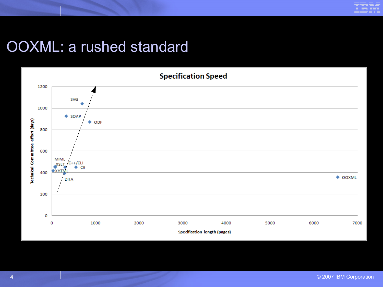# OOXML: a rushed standard

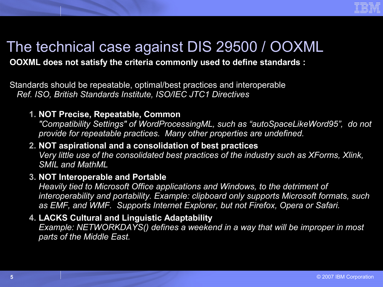

# The technical case against DIS 29500 / OOXML

### **OOXML does not satisfy the criteria commonly used to define standards :**

Standards should be repeatable, optimal/best practices and interoperable *Ref. ISO, British Standards Institute, ISO/IEC JTC1 Directives*

### **1. NOT Precise, Repeatable, Common**

*"Compatibility Settings" of WordProcessingML, such as "autoSpaceLikeWord95", do not provide for repeatable practices. Many other properties are undefined.* 

### **2. NOT aspirational and a consolidation of best practices**

*Very little use of the consolidated best practices of the industry such as XForms, Xlink, SMIL and MathML*

#### **3. NOT Interoperable and Portable**

*Heavily tied to Microsoft Office applications and Windows, to the detriment of interoperability and portability. Example: clipboard only supports Microsoft formats, such as EMF, and WMF. Supports Internet Explorer, but not Firefox, Opera or Safari.*

### **4. LACKS Cultural and Linguistic Adaptability**

*Example: NETWORKDAYS() defines a weekend in a way that will be improper in most parts of the Middle East.*